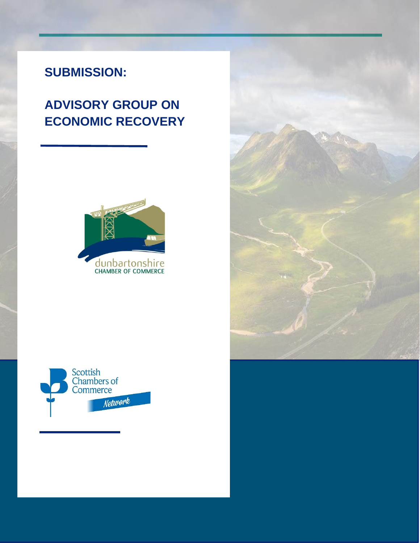# **SUBMISSION:**

# **ADVISORY GROUP ON ECONOMIC RECOVERY**





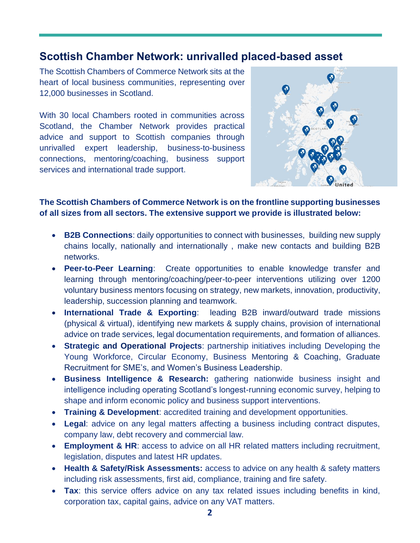## **Scottish Chamber Network: unrivalled placed-based asset**

The Scottish Chambers of Commerce Network sits at the heart of local business communities, representing over 12,000 businesses in Scotland.

With 30 local Chambers rooted in communities across Scotland, the Chamber Network provides practical advice and support to Scottish companies through unrivalled expert leadership, business-to-business connections, mentoring/coaching, business support services and international trade support.



**The Scottish Chambers of Commerce Network is on the frontline supporting businesses of all sizes from all sectors. The extensive support we provide is illustrated below:** 

- **B2B Connections**: daily opportunities to connect with businesses, building new supply chains locally, nationally and internationally , make new contacts and building B2B networks.
- **Peer-to-Peer Learning**: Create opportunities to enable knowledge transfer and learning through mentoring/coaching/peer-to-peer interventions utilizing over 1200 voluntary business mentors focusing on strategy, new markets, innovation, productivity, leadership, succession planning and teamwork.
- **International Trade & Exporting**: leading B2B inward/outward trade missions (physical & virtual), identifying new markets & supply chains, provision of international advice on trade services, legal documentation requirements, and formation of alliances.
- **Strategic and Operational Projects**: partnership initiatives including Developing the Young Workforce, Circular Economy, Business Mentoring & Coaching, Graduate Recruitment for SME's, and Women's Business Leadership.
- **Business Intelligence & Research:** gathering nationwide business insight and intelligence including operating Scotland's longest-running economic survey, helping to shape and inform economic policy and business support interventions.
- **Training & Development**: accredited training and development opportunities.
- **Legal**: advice on any legal matters affecting a business including contract disputes, company law, debt recovery and commercial law.
- **Employment & HR**: access to advice on all HR related matters including recruitment, legislation, disputes and latest HR updates.
- **Health & Safety/Risk Assessments:** access to advice on any health & safety matters including risk assessments, first aid, compliance, training and fire safety.
- **Tax**: this service offers advice on any tax related issues including benefits in kind, corporation tax, capital gains, advice on any VAT matters.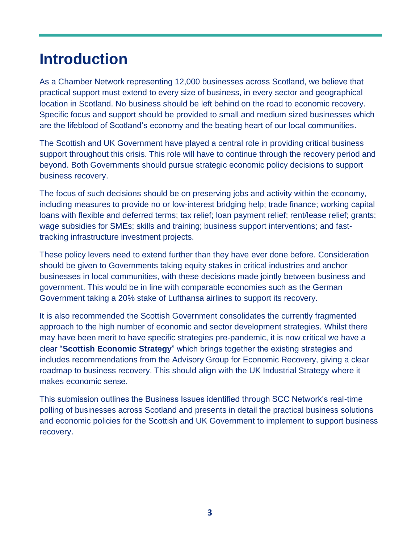# **Introduction**

As a Chamber Network representing 12,000 businesses across Scotland, we believe that practical support must extend to every size of business, in every sector and geographical location in Scotland. No business should be left behind on the road to economic recovery. Specific focus and support should be provided to small and medium sized businesses which are the lifeblood of Scotland's economy and the beating heart of our local communities.

The Scottish and UK Government have played a central role in providing critical business support throughout this crisis. This role will have to continue through the recovery period and beyond. Both Governments should pursue strategic economic policy decisions to support business recovery.

The focus of such decisions should be on preserving jobs and activity within the economy, including measures to provide no or low-interest bridging help; trade finance; working capital loans with flexible and deferred terms; tax relief; loan payment relief; rent/lease relief; grants; wage subsidies for SMEs; skills and training; business support interventions; and fasttracking infrastructure investment projects.

These policy levers need to extend further than they have ever done before. Consideration should be given to Governments taking equity stakes in critical industries and anchor businesses in local communities, with these decisions made jointly between business and government. This would be in line with comparable economies such as the German Government taking a 20% stake of Lufthansa airlines to support its recovery.

It is also recommended the Scottish Government consolidates the currently fragmented approach to the high number of economic and sector development strategies. Whilst there may have been merit to have specific strategies pre-pandemic, it is now critical we have a clear "**Scottish Economic Strategy**" which brings together the existing strategies and includes recommendations from the Advisory Group for Economic Recovery, giving a clear roadmap to business recovery. This should align with the UK Industrial Strategy where it makes economic sense.

This submission outlines the Business Issues identified through SCC Network's real-time polling of businesses across Scotland and presents in detail the practical business solutions and economic policies for the Scottish and UK Government to implement to support business recovery.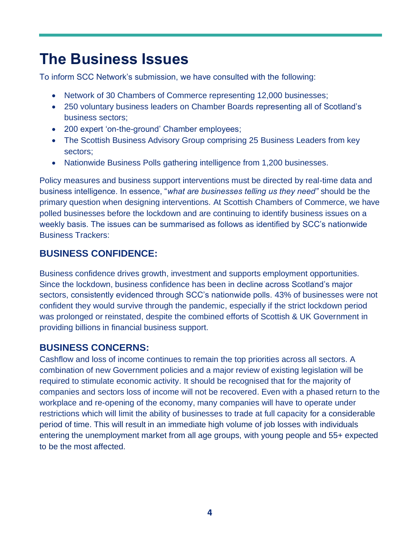# **The Business Issues**

To inform SCC Network's submission, we have consulted with the following:

- Network of 30 Chambers of Commerce representing 12,000 businesses;
- 250 voluntary business leaders on Chamber Boards representing all of Scotland's business sectors;
- 200 expert 'on-the-ground' Chamber employees;
- The Scottish Business Advisory Group comprising 25 Business Leaders from key sectors;
- Nationwide Business Polls gathering intelligence from 1,200 businesses.

Policy measures and business support interventions must be directed by real-time data and business intelligence. In essence, "*what are businesses telling us they need"* should be the primary question when designing interventions. At Scottish Chambers of Commerce, we have polled businesses before the lockdown and are continuing to identify business issues on a weekly basis. The issues can be summarised as follows as identified by SCC's nationwide Business Trackers:

## **BUSINESS CONFIDENCE:**

Business confidence drives growth, investment and supports employment opportunities. Since the lockdown, business confidence has been in decline across Scotland's major sectors, consistently evidenced through SCC's nationwide polls. 43% of businesses were not confident they would survive through the pandemic, especially if the strict lockdown period was prolonged or reinstated, despite the combined efforts of Scottish & UK Government in providing billions in financial business support.

## **BUSINESS CONCERNS:**

Cashflow and loss of income continues to remain the top priorities across all sectors. A combination of new Government policies and a major review of existing legislation will be required to stimulate economic activity. It should be recognised that for the majority of companies and sectors loss of income will not be recovered. Even with a phased return to the workplace and re-opening of the economy, many companies will have to operate under restrictions which will limit the ability of businesses to trade at full capacity for a considerable period of time. This will result in an immediate high volume of job losses with individuals entering the unemployment market from all age groups, with young people and 55+ expected to be the most affected.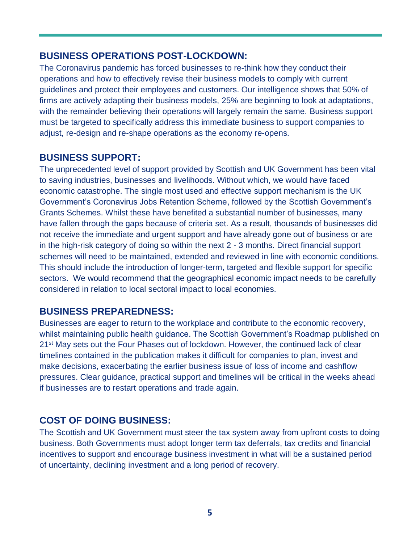### **BUSINESS OPERATIONS POST-LOCKDOWN:**

The Coronavirus pandemic has forced businesses to re-think how they conduct their operations and how to effectively revise their business models to comply with current guidelines and protect their employees and customers. Our intelligence shows that 50% of firms are actively adapting their business models, 25% are beginning to look at adaptations, with the remainder believing their operations will largely remain the same. Business support must be targeted to specifically address this immediate business to support companies to adjust, re-design and re-shape operations as the economy re-opens.

## **BUSINESS SUPPORT:**

The unprecedented level of support provided by Scottish and UK Government has been vital to saving industries, businesses and livelihoods. Without which, we would have faced economic catastrophe. The single most used and effective support mechanism is the UK Government's Coronavirus Jobs Retention Scheme, followed by the Scottish Government's Grants Schemes. Whilst these have benefited a substantial number of businesses, many have fallen through the gaps because of criteria set. As a result, thousands of businesses did not receive the immediate and urgent support and have already gone out of business or are in the high-risk category of doing so within the next 2 - 3 months. Direct financial support schemes will need to be maintained, extended and reviewed in line with economic conditions. This should include the introduction of longer-term, targeted and flexible support for specific sectors. We would recommend that the geographical economic impact needs to be carefully considered in relation to local sectoral impact to local economies.

## **BUSINESS PREPAREDNESS:**

Businesses are eager to return to the workplace and contribute to the economic recovery, whilst maintaining public health guidance. The Scottish Government's Roadmap published on 21<sup>st</sup> May sets out the Four Phases out of lockdown. However, the continued lack of clear timelines contained in the publication makes it difficult for companies to plan, invest and make decisions, exacerbating the earlier business issue of loss of income and cashflow pressures. Clear guidance, practical support and timelines will be critical in the weeks ahead if businesses are to restart operations and trade again.

## **COST OF DOING BUSINESS:**

The Scottish and UK Government must steer the tax system away from upfront costs to doing business. Both Governments must adopt longer term tax deferrals, tax credits and financial incentives to support and encourage business investment in what will be a sustained period of uncertainty, declining investment and a long period of recovery.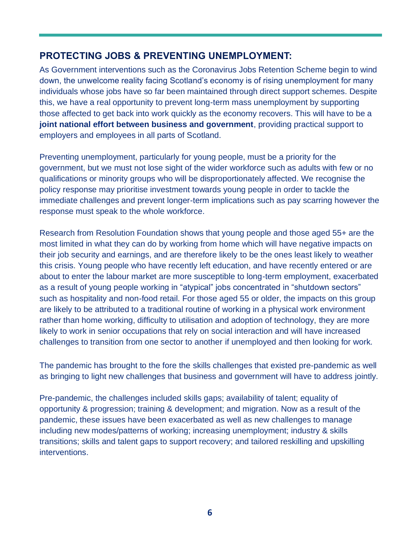## **PROTECTING JOBS & PREVENTING UNEMPLOYMENT:**

As Government interventions such as the Coronavirus Jobs Retention Scheme begin to wind down, the unwelcome reality facing Scotland's economy is of rising unemployment for many individuals whose jobs have so far been maintained through direct support schemes. Despite this, we have a real opportunity to prevent long-term mass unemployment by supporting those affected to get back into work quickly as the economy recovers. This will have to be a **joint national effort between business and government**, providing practical support to employers and employees in all parts of Scotland.

Preventing unemployment, particularly for young people, must be a priority for the government, but we must not lose sight of the wider workforce such as adults with few or no qualifications or minority groups who will be disproportionately affected. We recognise the policy response may prioritise investment towards young people in order to tackle the immediate challenges and prevent longer-term implications such as pay scarring however the response must speak to the whole workforce.

Research from Resolution Foundation shows that young people and those aged 55+ are the most limited in what they can do by working from home which will have negative impacts on their job security and earnings, and are therefore likely to be the ones least likely to weather this crisis. Young people who have recently left education, and have recently entered or are about to enter the labour market are more susceptible to long-term employment, exacerbated as a result of young people working in "atypical" jobs concentrated in "shutdown sectors" such as hospitality and non-food retail. For those aged 55 or older, the impacts on this group are likely to be attributed to a traditional routine of working in a physical work environment rather than home working, difficulty to utilisation and adoption of technology, they are more likely to work in senior occupations that rely on social interaction and will have increased challenges to transition from one sector to another if unemployed and then looking for work.

The pandemic has brought to the fore the skills challenges that existed pre-pandemic as well as bringing to light new challenges that business and government will have to address jointly.

Pre-pandemic, the challenges included skills gaps; availability of talent; equality of opportunity & progression; training & development; and migration. Now as a result of the pandemic, these issues have been exacerbated as well as new challenges to manage including new modes/patterns of working; increasing unemployment; industry & skills transitions; skills and talent gaps to support recovery; and tailored reskilling and upskilling interventions.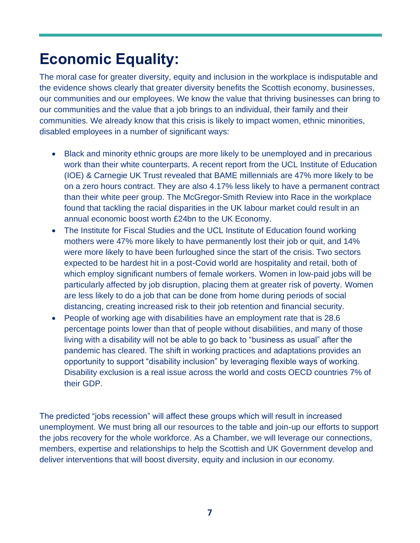# **Economic Equality:**

The moral case for greater diversity, equity and inclusion in the workplace is indisputable and the evidence shows clearly that greater diversity benefits the Scottish economy, businesses, our communities and our employees. We know the value that thriving businesses can bring to our communities and the value that a job brings to an individual, their family and their communities. We already know that this crisis is likely to impact women, ethnic minorities, disabled employees in a number of significant ways:

- Black and minority ethnic groups are more likely to be unemployed and in precarious work than their white counterparts. A recent report from the UCL Institute of Education (IOE) & Carnegie UK Trust revealed that BAME millennials are 47% more likely to be on a zero hours contract. They are also 4.17% less likely to have a permanent contract than their white peer group. The McGregor-Smith Review into Race in the workplace found that tackling the racial disparities in the UK labour market could result in an annual economic boost worth £24bn to the UK Economy.
- The Institute for Fiscal Studies and the UCL Institute of Education found working mothers were 47% more likely to have permanently lost their job or quit, and 14% were more likely to have been furloughed since the start of the crisis. Two sectors expected to be hardest hit in a post-Covid world are hospitality and retail, both of which employ significant numbers of female workers. Women in low-paid jobs will be particularly affected by job disruption, placing them at greater risk of poverty. Women are less likely to do a job that can be done from home during periods of social distancing, creating increased risk to their job retention and financial security.
- People of working age with disabilities have an employment rate that is 28.6 percentage points lower than that of people without disabilities, and many of those living with a disability will not be able to go back to "business as usual" after the pandemic has cleared. The shift in working practices and adaptations provides an opportunity to support "disability inclusion" by leveraging flexible ways of working. Disability exclusion is a real issue across the world and costs OECD countries 7% of their GDP.

The predicted "jobs recession" will affect these groups which will result in increased unemployment. We must bring all our resources to the table and join-up our efforts to support the jobs recovery for the whole workforce. As a Chamber, we will leverage our connections, members, expertise and relationships to help the Scottish and UK Government develop and deliver interventions that will boost diversity, equity and inclusion in our economy.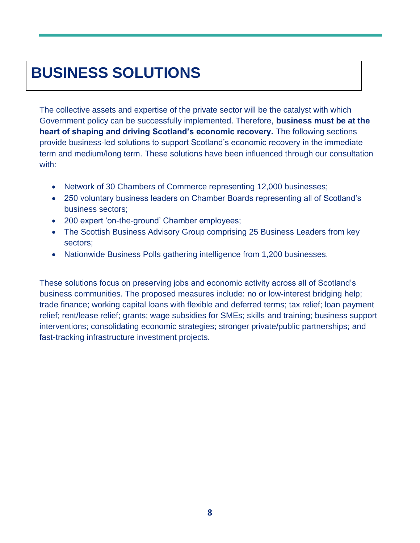# **BUSINESS SOLUTIONS**

The collective assets and expertise of the private sector will be the catalyst with which Government policy can be successfully implemented. Therefore, **business must be at the heart of shaping and driving Scotland's economic recovery.** The following sections provide business-led solutions to support Scotland's economic recovery in the immediate term and medium/long term. These solutions have been influenced through our consultation with:

- Network of 30 Chambers of Commerce representing 12,000 businesses;
- 250 voluntary business leaders on Chamber Boards representing all of Scotland's business sectors;
- 200 expert 'on-the-ground' Chamber employees;
- The Scottish Business Advisory Group comprising 25 Business Leaders from key sectors;
- Nationwide Business Polls gathering intelligence from 1,200 businesses.

These solutions focus on preserving jobs and economic activity across all of Scotland's business communities. The proposed measures include: no or low-interest bridging help; trade finance; working capital loans with flexible and deferred terms; tax relief; loan payment relief; rent/lease relief; grants; wage subsidies for SMEs; skills and training; business support interventions; consolidating economic strategies; stronger private/public partnerships; and fast-tracking infrastructure investment projects.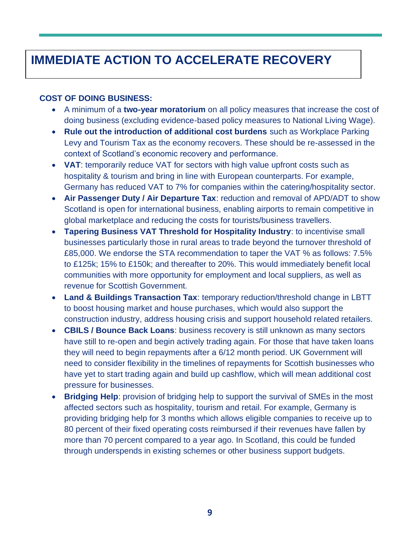# **IMMEDIATE ACTION TO ACCELERATE RECOVERY**

#### **COST OF DOING BUSINESS:**

- A minimum of a **two-year moratorium** on all policy measures that increase the cost of doing business (excluding evidence-based policy measures to National Living Wage).
- **Rule out the introduction of additional cost burdens** such as Workplace Parking Levy and Tourism Tax as the economy recovers. These should be re-assessed in the context of Scotland's economic recovery and performance.
- **VAT**: temporarily reduce VAT for sectors with high value upfront costs such as hospitality & tourism and bring in line with European counterparts. For example, Germany has reduced VAT to 7% for companies within the catering/hospitality sector.
- **Air Passenger Duty / Air Departure Tax**: reduction and removal of APD/ADT to show Scotland is open for international business, enabling airports to remain competitive in global marketplace and reducing the costs for tourists/business travellers.
- **Tapering Business VAT Threshold for Hospitality Industry**: to incentivise small businesses particularly those in rural areas to trade beyond the turnover threshold of £85,000. We endorse the STA recommendation to taper the VAT % as follows: 7.5% to £125k; 15% to £150k; and thereafter to 20%. This would immediately benefit local communities with more opportunity for employment and local suppliers, as well as revenue for Scottish Government.
- **Land & Buildings Transaction Tax**: temporary reduction/threshold change in LBTT to boost housing market and house purchases, which would also support the construction industry, address housing crisis and support household related retailers.
- **CBILS / Bounce Back Loans**: business recovery is still unknown as many sectors have still to re-open and begin actively trading again. For those that have taken loans they will need to begin repayments after a 6/12 month period. UK Government will need to consider flexibility in the timelines of repayments for Scottish businesses who have yet to start trading again and build up cashflow, which will mean additional cost pressure for businesses.
- **Bridging Help**: provision of bridging help to support the survival of SMEs in the most affected sectors such as hospitality, tourism and retail. For example, Germany is providing bridging help for 3 months which allows eligible companies to receive up to 80 percent of their fixed operating costs reimbursed if their revenues have fallen by more than 70 percent compared to a year ago. In Scotland, this could be funded through underspends in existing schemes or other business support budgets.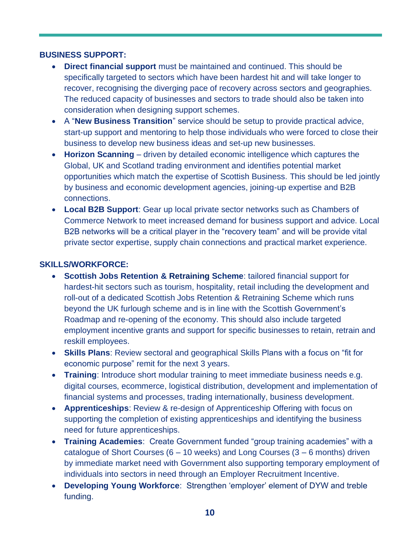#### **BUSINESS SUPPORT:**

- **Direct financial support** must be maintained and continued. This should be specifically targeted to sectors which have been hardest hit and will take longer to recover, recognising the diverging pace of recovery across sectors and geographies. The reduced capacity of businesses and sectors to trade should also be taken into consideration when designing support schemes.
- A "**New Business Transition**" service should be setup to provide practical advice, start-up support and mentoring to help those individuals who were forced to close their business to develop new business ideas and set-up new businesses.
- **Horizon Scanning** driven by detailed economic intelligence which captures the Global, UK and Scotland trading environment and identifies potential market opportunities which match the expertise of Scottish Business. This should be led jointly by business and economic development agencies, joining-up expertise and B2B connections.
- **Local B2B Support**: Gear up local private sector networks such as Chambers of Commerce Network to meet increased demand for business support and advice. Local B2B networks will be a critical player in the "recovery team" and will be provide vital private sector expertise, supply chain connections and practical market experience.

#### **SKILLS/WORKFORCE:**

- **Scottish Jobs Retention & Retraining Scheme**: tailored financial support for hardest-hit sectors such as tourism, hospitality, retail including the development and roll-out of a dedicated Scottish Jobs Retention & Retraining Scheme which runs beyond the UK furlough scheme and is in line with the Scottish Government's Roadmap and re-opening of the economy. This should also include targeted employment incentive grants and support for specific businesses to retain, retrain and reskill employees.
- **Skills Plans**: Review sectoral and geographical Skills Plans with a focus on "fit for economic purpose" remit for the next 3 years.
- **Training**: Introduce short modular training to meet immediate business needs e.g. digital courses, ecommerce, logistical distribution, development and implementation of financial systems and processes, trading internationally, business development.
- **Apprenticeships**: Review & re-design of Apprenticeship Offering with focus on supporting the completion of existing apprenticeships and identifying the business need for future apprenticeships.
- **Training Academies**: Create Government funded "group training academies" with a catalogue of Short Courses  $(6 - 10$  weeks) and Long Courses  $(3 - 6$  months) driven by immediate market need with Government also supporting temporary employment of individuals into sectors in need through an Employer Recruitment Incentive.
- **Developing Young Workforce**: Strengthen 'employer' element of DYW and treble funding.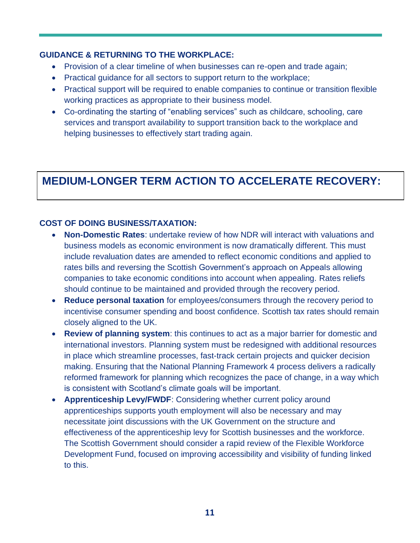#### **GUIDANCE & RETURNING TO THE WORKPLACE:**

- Provision of a clear timeline of when businesses can re-open and trade again;
- Practical guidance for all sectors to support return to the workplace;
- Practical support will be required to enable companies to continue or transition flexible working practices as appropriate to their business model.
- Co-ordinating the starting of "enabling services" such as childcare, schooling, care services and transport availability to support transition back to the workplace and helping businesses to effectively start trading again.

## **MEDIUM-LONGER TERM ACTION TO ACCELERATE RECOVERY:**

### **COST OF DOING BUSINESS/TAXATION:**

- **Non-Domestic Rates**: undertake review of how NDR will interact with valuations and business models as economic environment is now dramatically different. This must include revaluation dates are amended to reflect economic conditions and applied to rates bills and reversing the Scottish Government's approach on Appeals allowing companies to take economic conditions into account when appealing. Rates reliefs should continue to be maintained and provided through the recovery period.
- **Reduce personal taxation** for employees/consumers through the recovery period to incentivise consumer spending and boost confidence. Scottish tax rates should remain closely aligned to the UK.
- **Review of planning system**: this continues to act as a major barrier for domestic and international investors. Planning system must be redesigned with additional resources in place which streamline processes, fast-track certain projects and quicker decision making. Ensuring that the National Planning Framework 4 process delivers a radically reformed framework for planning which recognizes the pace of change, in a way which is consistent with Scotland's climate goals will be important.
- **Apprenticeship Levy/FWDF**: Considering whether current policy around apprenticeships supports youth employment will also be necessary and may necessitate joint discussions with the UK Government on the structure and effectiveness of the apprenticeship levy for Scottish businesses and the workforce. The Scottish Government should consider a rapid review of the Flexible Workforce Development Fund, focused on improving accessibility and visibility of funding linked to this.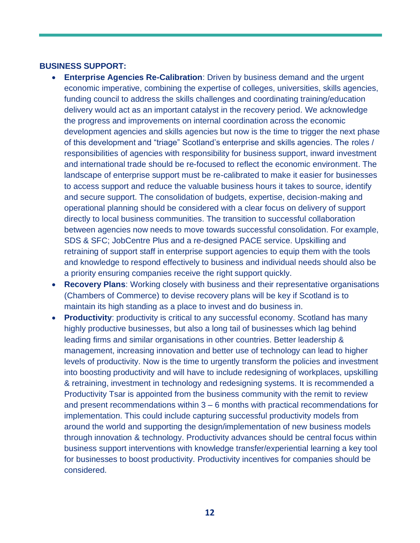#### **BUSINESS SUPPORT:**

- **Enterprise Agencies Re-Calibration**: Driven by business demand and the urgent economic imperative, combining the expertise of colleges, universities, skills agencies, funding council to address the skills challenges and coordinating training/education delivery would act as an important catalyst in the recovery period. We acknowledge the progress and improvements on internal coordination across the economic development agencies and skills agencies but now is the time to trigger the next phase of this development and "triage" Scotland's enterprise and skills agencies. The roles / responsibilities of agencies with responsibility for business support, inward investment and international trade should be re-focused to reflect the economic environment. The landscape of enterprise support must be re-calibrated to make it easier for businesses to access support and reduce the valuable business hours it takes to source, identify and secure support. The consolidation of budgets, expertise, decision-making and operational planning should be considered with a clear focus on delivery of support directly to local business communities. The transition to successful collaboration between agencies now needs to move towards successful consolidation. For example, SDS & SFC; JobCentre Plus and a re-designed PACE service. Upskilling and retraining of support staff in enterprise support agencies to equip them with the tools and knowledge to respond effectively to business and individual needs should also be a priority ensuring companies receive the right support quickly.
- **Recovery Plans**: Working closely with business and their representative organisations (Chambers of Commerce) to devise recovery plans will be key if Scotland is to maintain its high standing as a place to invest and do business in.
- **Productivity:** productivity is critical to any successful economy. Scotland has many highly productive businesses, but also a long tail of businesses which lag behind leading firms and similar organisations in other countries. Better leadership & management, increasing innovation and better use of technology can lead to higher levels of productivity. Now is the time to urgently transform the policies and investment into boosting productivity and will have to include redesigning of workplaces, upskilling & retraining, investment in technology and redesigning systems. It is recommended a Productivity Tsar is appointed from the business community with the remit to review and present recommendations within 3 – 6 months with practical recommendations for implementation. This could include capturing successful productivity models from around the world and supporting the design/implementation of new business models through innovation & technology. Productivity advances should be central focus within business support interventions with knowledge transfer/experiential learning a key tool for businesses to boost productivity. Productivity incentives for companies should be considered.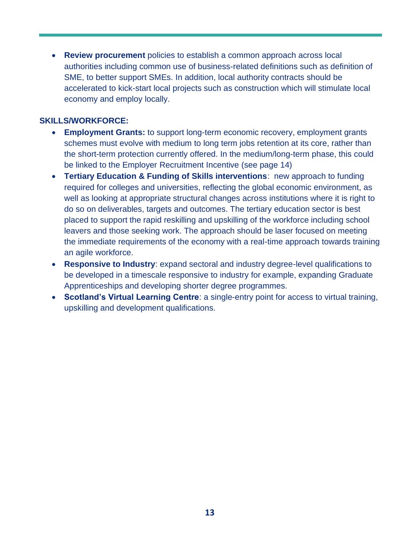• **Review procurement** policies to establish a common approach across local authorities including common use of business-related definitions such as definition of SME, to better support SMEs. In addition, local authority contracts should be accelerated to kick-start local projects such as construction which will stimulate local economy and employ locally.

#### **SKILLS/WORKFORCE:**

- **Employment Grants:** to support long-term economic recovery, employment grants schemes must evolve with medium to long term jobs retention at its core, rather than the short-term protection currently offered. In the medium/long-term phase, this could be linked to the Employer Recruitment Incentive (see page 14)
- **Tertiary Education & Funding of Skills interventions**: new approach to funding required for colleges and universities, reflecting the global economic environment, as well as looking at appropriate structural changes across institutions where it is right to do so on deliverables, targets and outcomes. The tertiary education sector is best placed to support the rapid reskilling and upskilling of the workforce including school leavers and those seeking work. The approach should be laser focused on meeting the immediate requirements of the economy with a real-time approach towards training an agile workforce.
- **Responsive to Industry**: expand sectoral and industry degree-level qualifications to be developed in a timescale responsive to industry for example, expanding Graduate Apprenticeships and developing shorter degree programmes.
- **Scotland's Virtual Learning Centre**: a single-entry point for access to virtual training, upskilling and development qualifications.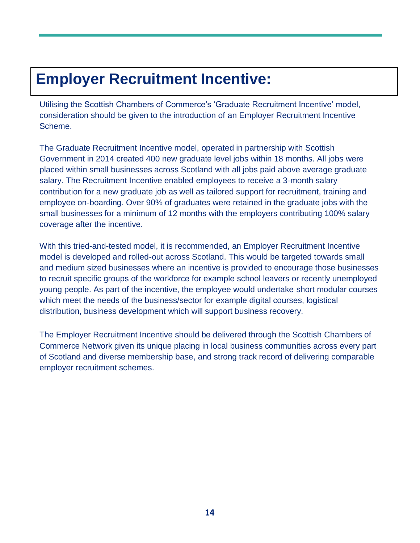# **Employer Recruitment Incentive:**

Utilising the Scottish Chambers of Commerce's 'Graduate Recruitment Incentive' model, consideration should be given to the introduction of an Employer Recruitment Incentive Scheme.

The Graduate Recruitment Incentive model, operated in partnership with Scottish Government in 2014 created 400 new graduate level jobs within 18 months. All jobs were placed within small businesses across Scotland with all jobs paid above average graduate salary. The Recruitment Incentive enabled employees to receive a 3-month salary contribution for a new graduate job as well as tailored support for recruitment, training and employee on-boarding. Over 90% of graduates were retained in the graduate jobs with the small businesses for a minimum of 12 months with the employers contributing 100% salary coverage after the incentive.

With this tried-and-tested model, it is recommended, an Employer Recruitment Incentive model is developed and rolled-out across Scotland. This would be targeted towards small and medium sized businesses where an incentive is provided to encourage those businesses to recruit specific groups of the workforce for example school leavers or recently unemployed young people. As part of the incentive, the employee would undertake short modular courses which meet the needs of the business/sector for example digital courses, logistical distribution, business development which will support business recovery.

The Employer Recruitment Incentive should be delivered through the Scottish Chambers of Commerce Network given its unique placing in local business communities across every part of Scotland and diverse membership base, and strong track record of delivering comparable employer recruitment schemes.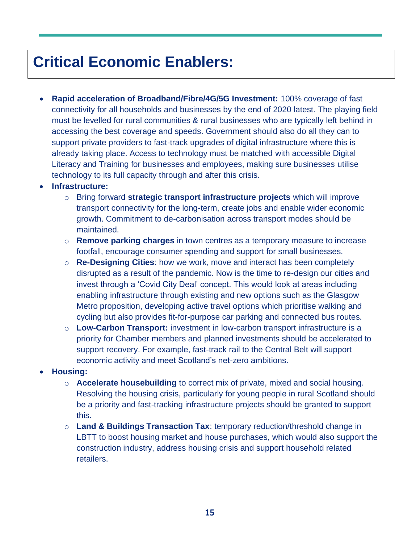# **Critical Economic Enablers:**

• **Rapid acceleration of Broadband/Fibre/4G/5G Investment:** 100% coverage of fast connectivity for all households and businesses by the end of 2020 latest. The playing field must be levelled for rural communities & rural businesses who are typically left behind in accessing the best coverage and speeds. Government should also do all they can to support private providers to fast-track upgrades of digital infrastructure where this is already taking place. Access to technology must be matched with accessible Digital Literacy and Training for businesses and employees, making sure businesses utilise technology to its full capacity through and after this crisis.

#### • **Infrastructure:**

- o Bring forward **strategic transport infrastructure projects** which will improve transport connectivity for the long-term, create jobs and enable wider economic growth. Commitment to de-carbonisation across transport modes should be maintained.
- o **Remove parking charges** in town centres as a temporary measure to increase footfall, encourage consumer spending and support for small businesses.
- o **Re-Designing Cities**: how we work, move and interact has been completely disrupted as a result of the pandemic. Now is the time to re-design our cities and invest through a 'Covid City Deal' concept. This would look at areas including enabling infrastructure through existing and new options such as the Glasgow Metro proposition, developing active travel options which prioritise walking and cycling but also provides fit-for-purpose car parking and connected bus routes.
- o **Low-Carbon Transport:** investment in low-carbon transport infrastructure is a priority for Chamber members and planned investments should be accelerated to support recovery. For example, fast-track rail to the Central Belt will support economic activity and meet Scotland's net-zero ambitions.

#### • **Housing:**

- o **Accelerate housebuilding** to correct mix of private, mixed and social housing. Resolving the housing crisis, particularly for young people in rural Scotland should be a priority and fast-tracking infrastructure projects should be granted to support this.
- o **Land & Buildings Transaction Tax**: temporary reduction/threshold change in LBTT to boost housing market and house purchases, which would also support the construction industry, address housing crisis and support household related retailers.